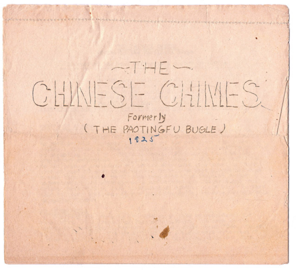# $\sim$ THE CHINESE CHINES Formerly (THE PAOTINGFU BUGLE)  $1925$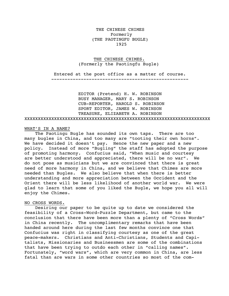THE CHINESE CHIMES Formerly (THE PAOTINGFU BUGLE) 1925

## THE CHINESE CHIMES. (Formerly the Paotingfu Bugle)

 Entered at the post office as a matter of course. ---------------------------------------------------

 EDITOR (Pretend) H. W. ROBINSON BUSY MANAGER, MARY S. ROBINSON CUB-REPORTER, HAROLD S. ROBINSON SPORT EDITOR, JAMES W. ROBINSON TREASURE, ELIZABETH A. ROBINSON XXXXXXXXXXXXXXXXXXXXXXXXXXXXXXXXXXXXXXXXXXXXXXXXXXXXXXXXXXXXXXXXXXXXX

## WHAT'S IN A NAME?

 The Paotingu Bugle has sounded its own taps. There are too many bugles in China, and too many are "tooting their own horns". We have decided it doesn't pay. Hence the new paper and a new policy. Instead of more "Bugling" the staff has adopted the purpose of promoting harmony. Confucius said, "When music and courtesy are better understood and appreciated, there will be no war". We do not pose as musicians but we are convinced that there is great need of more harmony in China, and we believe that Chimes are more needed than Bugles. We also believe that when there is better understanding and more appreciation between the Occident and the Orient there will be less likelihood of another world war. We were glad to learn that some of you liked the Bugle, we hope you all will enjoy the Chimes.

## NO CROSS WORDS.

 Desiring our paper to be quite up to date we considered the feasibility of a Cross-Word-Puzzle Department, but came to the conclusion that there have been more than a plenty of "Cross Words" in China recently. The uncomplimentary remarks that have been handed around here during the last few months convince one that Confucius was right in classifying courtesy as one of the great peace-makers. Christians and Anti-Christians, Students and Capitalists, Missionaries and Businessmen are some of the combinations that have been trying to outdo each other in "calling names". Fortunately, "word wars", which are very common in China, are less fatal than are wars in some other countries so most of the com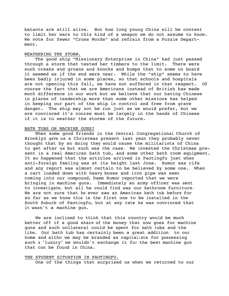batants are still alive. But how long young China will be content to limit her wars to this kind of a weapon we do not assume to know. We vote for fewer "Cross Words" and refrain from a Puzzle Department.

## WEATHERING THE STORM.

 The good ship "Missionary Enterprise in China" had just passed through a storm that tested her timbers to the limit. There were such creaks and groans and knocks and bumps that to some on board it seemed as if the end were near. While the "ship" seems to have been badly injured in some places, so that schools and hospitals are not opening this fall, we have not suffered in that respect. Of course the fact that we are Americans instead of British has made much difference in our work but we believe that our having Chinese in places of leadership more than some other missions has helped in keeping our part of the ship in control and free from grave danger. The ship may not be run just as we would prefer, but we are convinced it's course must be largely in the hands of Chinese if it is to weather the storms of the future.

## BATH TUBS OR MACHINE GUNS?

 When some good friends in the Central Congregational Church of Brooklyn gave us a Christmas present last year they probably never thought that by so doing they would cause the militarists of China to get after us but such was the case. We invested the Christmas present in a real American bath tub, and some other bath room equipment. It so happened that the articles arrived in Paotingfu just when anti-foreign feeling was at its height last June. Rumor was rife and any report was almost certain to be believed by some one. When a cart loaded down with heavy boxes and iron pipe was seen coming into our compound, Dame Rumor reported that we were bringing in machine guns. Immediately an army officer was sent to investigate, but all he could find was our bathroom furniture. We are not sure that he ever saw an American bath tub before for so far as we know this is the first one to be installed in the South Suburb of Paotingfu, but at any rate he was convinced that it wasn't a machine gun.

 We are inclined to think that this country would be much better off if a good share of the money that now goes for machine guns and such collateral could be spent for bath tubs and the like. Our bath tub has certainly been a great addition to our home and altho we may be branded as capitalists for possessing such a "luxury" we wouldn't exchange it for the best machine gun that can be found in China.

#### THE STUDENT SITUATION IN PAOTINGFU.

One of the things that surprised us when we returned to our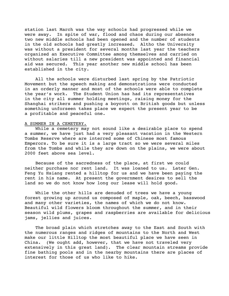station last March was the way schools had progressed while we were away. In spite of war, flood and chaos during our absence two new middle schools had been opened and the number of students in the old schools had greatly increased. Altho the University was without a president for several months last year the teachers organized an Executive Committee among themselves and carried on without salaries till a new president was appointed and financial aid was secured. This year another new middle school has been established in the city.

 All the schools were disturbed last spring by the Patriotic Movement but the speech making and demonstrations were conducted in an orderly manner and most of the schools were able to complete the year's work. The Student Union has had its representatives in the city all summer holding meetings, raising money for the Shanghai strikers and pushing a boycott on British goods but unless something unforseen takes place we expect the present year to be a profitable and peaceful one.

## A SUMMER IN A CEMETERY.

 While a cemetery may not sound like a desirable place to spend a summer, we have just had a very pleasant vacation in the Western Tombs Reserve where are interred some of Chinese most famous Emperors. To be sure it is a large tract so we were several miles from the Tombs and while they are down on the plains, we were about 2000 feet above sea level.

 Because of the sacredness of the place, at first we could neither purchase nor rent land. It was loaned to us. Later Gen. Feng Yu Hsiang rented a hilltop for us and we have been paying the rent in his name. At present the government desires to sell the land so we do not know how long our lease will hold good.

 While the other hills are denuded of trees we have a young forest growing up around us composed of maple, oak, beech, basswood and many other varieties, the names of which we do not know. Beautiful wild flowers bloom throughout the summer, and in their season wild plums, grapes and raspberries are available for delicious jams, jellies and juices.

 The broad plain which stretches away to the East and South with the numerous ranges and ridges of mountains to the North and West make our little Hilltop the most beautiful place we have seen in China. (We ought add, however, that we have not traveled very extensively in this great land). The clear mountain streams provide fine bathing pools and in the nearby mountains there are places of interest for those of us who like to hike.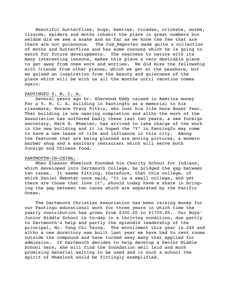Beautiful butterflies, bugs. beetles, cicadas, crickets, worms, lizards, spiders and moths inhabit the place in great numbers but seldom did we see a snake and so far as we know the few that are there are not poisonous. The Cub Reporter made quite a collection of moths and butterflies and has some cocoons which he is going to watch for future developments. The nearness to nature with its many interesting lessons, makes this place a very desirable place to get away from ones work and worries. We did miss the fellowship with friends from other places, which we get at the seashore, but we gained an inspiration from the beauty and quietness of the place which will be with us all the months until vacation comes again.

## PAOTINGFU Y. M. C. A.

 Several years ago Dr. Sherwood Eddy raised in America money For a Y. M. C. A. building in Paotingfu as a memorial to his classmate, Horace Tracy Pitkin, who lost his life here Boxer Year. That building is now nearing completion and altho the work of the Association has suffered badly these last two years, a new foreign secretary, Mark H. Wheeler, has arrived to take charge of the work in the new building and it is hoped the "Y" in Paotingfu may come to have a new lease of life and influence in this city. Among the features that are being planned are moving pictures, a modern barber shop and a sanitary restaurant which will serve both foreign and Chinese food.

## DARTMOUTH-IN-CHINA.

When Eleazar Wheelock founded his Charity School for Indians, which developed into Dartmouth College, he bridged the gap between two races. It seems fitting, therefore, that this college, of which Daniel Webster once said, "It is a small college, and yet there are those that love it", should today have a share in bringing the gap between two races which are separated by the Pacific Ocean.

 The Dartmouth Christian Association has been raising money for our Paotingu educational work for three years in which time the yearly contribution has grown from \$300.00 to \$1750.00. Our Boys' Junior Middle School is to-day in a thriving condition, due partly to Dartmouth's help and partly the splendid leadership of the principal, Mr. Yang Chi Tsung. The enrollment this year is 240 and altho a new dormitory was built last year we have had to rent rooms outside the compound and have turned away many that applied for admission. If Dartmouth decides to help develop a Senior Middle School here, she will find the foundation well laid and much promising material waiting to be used and in such a school the spirit of Wheelock would be fittingly exemplified.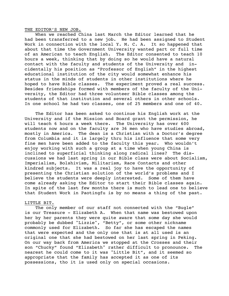THE EDITOR'S NEW JOB.

 When we reached China last March the Editor learned that he had been transferred to a new job. He had been assigned to Student Work in connection with the local Y. M. C. A. It so happened that about that time the Government University wanted part or full time of an American to teach English. The Editor consented to teach 10 hours a week, thinking that by doing so he would have a natural contact with the faculty and students of the University and incidentally his position as "Professor of English" in the highest educational institution of the city would somewhat enhance his status in the minds of students in other institutions where he hoped to have Bible classes. The experiment proved a real success. Besides friendships formed with members of the faculty of the University, the Editor had three volunteer Bible classes among the students of that institution and several others in other schools. In one school he had two classes, one of 25 members and one of 40.

 The Editor has been asked to continue his English work at the University and if the Mission and Board grant the permission, he will teach 6 hours a week there. The University has over 600 students now and on the faculty are 36 men who have studies abroad, mostly in America. The dean is a Christian with a Doctor's degree from Columbia and it is largely thru his influence that some very fine men have been added to the faculty this year. Who wouldn't enjoy working with such a group at a time when young China is inclined to superficial thinking along radical lines? The discussions we had last spring in our Bible class were about Socialism, Imperialism, Bolshivism, Militarism, Race Contacts and other kindred subjects. It was a real joy to have the opportunity of presenting the Christian solution of the world's problems and I believe the students were deeply interested. Some of them have come already asking the Editor to start their Bible classes again. In spite of the last few months there is much to lead one to believe that Student Work in Paotingfu is by no means a thing of the past.

#### LITTLE BIT.

The only member of our staff not connected with the "Bugle" is our Treasure - Elizabeth A. When that name was bestowed upon her by her parents they were quite aware that some day she would probably be dubbed "Lizzie", "Betty", or some other nickname commonly used for Elizabeth. So far she has escaped the names that were expected and the only one that is at all used is an original one that she had bestowed on her last spring in Peking. On our way back from America we stopped at the Crosses and their son "Chucky" found "Elizabeth" rather difficult to pronounce. The nearest he could come to it was "Little Bit", and it seemed so appropriate that the family has accepted it as one of its possessions, tho it is used only on special occasions.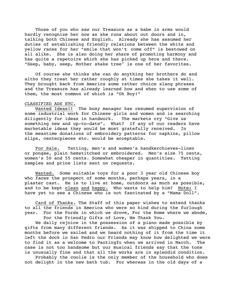Those of you who saw our Treasure as a babe in arms would hardly recognize her now as she runs about out doors and in, talking both Chinese and English. Already she has assumed her duties of establishing friendly relations between the white and yellow races for her "smile that won't come off" is bestowed on all alike. She is also doing her share of promoting harmony and has quite a repetoire which she has picked up here and there. "Seep, baby, seep, Mother shake tree" is one of her favorites.

 Of course she thinks she can do anything her brothers do and altho they treat her rather roughly at times she takes it well. They brought back from America some rather choice slang phrases and the Treasure has already learned how and when to use some of them, the most common of which is "Oh Boy!"

## CLASSIFIED ADS ETC.

 Wanted Ideas!! The busy manager has resumed supervision of some industrial work for Chinese girls and women and is searching diligently for ideas in handwork. The markets cry "Give us something new and up-to-date". What? If any of our readers have marketable ideas they would be most gratefully received. In the meantime donations of embroidery patterns for napkins, pillow slips, centerpieces etc. would be acceptable.

 For Sale. Tatting, men's and women's handkerchieves-linen or pongee, plain hemstitched or embroidered. Men's size 75 cents, women's 50 and 55 cents. Somewhat cheaper in quantities. Tatting samples and price lists sent on requests.

 Wanted. Some suitable toys for a poor 3 year old Chinese boy who faces the prospect of some months, perhaps years, in a plaster cast. He is to live at home, outdoors as much as possible, and to be kept clean and happy. Who wants to help him? Note: I have yet to see a Chinese who is not fascinated by a "Mama Doll".

 Card of Thanks. The Staff of this paper wishes to extend thanks to all the friends in America who were so kind during the furlough year. For the Fords in which we drove, For the Home where we abode, For the Friendly Gifts of Love, We Thank You.

 We daily rejoice in the possession of a piano made possible by gifts from many different friends. As it was shipped to China some months before we sailed and we heard nothing of it from the time it left the dock in San Pedro our Friends may know how delighted we were to find it as a welcome to Paotingfu when we arrived in March. The case is not too handsome but our musical friends say that the tone is unusually fine and that all the works are in splendid condition.

 Probably the coolie is the only member of the household who does not delight in the new bath tub. For whereas in the old days of a